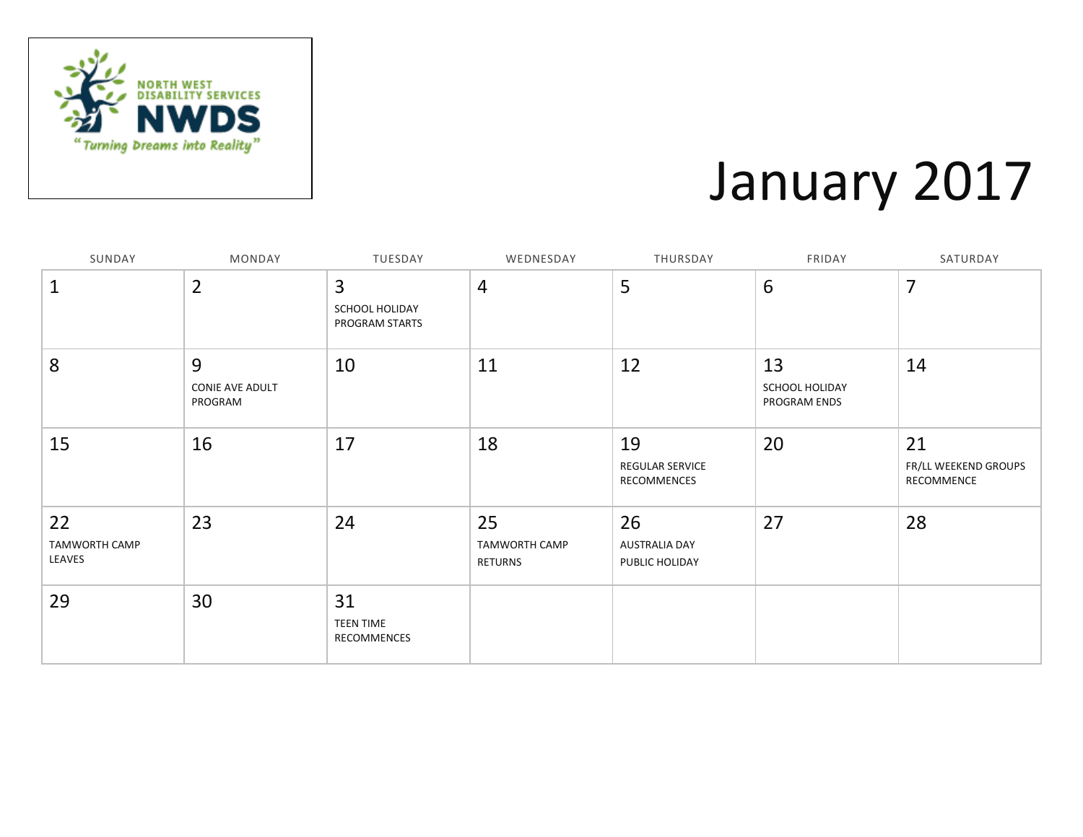

### January 2017

| SUNDAY                               | MONDAY                          | TUESDAY                                            | WEDNESDAY                      | THURSDAY                                     | FRIDAY                               | SATURDAY                                 |
|--------------------------------------|---------------------------------|----------------------------------------------------|--------------------------------|----------------------------------------------|--------------------------------------|------------------------------------------|
| $\mathbf{1}$                         | $\overline{2}$                  | $\overline{3}$<br>SCHOOL HOLIDAY<br>PROGRAM STARTS | 4                              | 5                                            | $6\phantom{1}6$                      | $\overline{7}$                           |
| 8                                    | 9<br>CONIE AVE ADULT<br>PROGRAM | 10                                                 | 11                             | 12                                           | 13<br>SCHOOL HOLIDAY<br>PROGRAM ENDS | 14                                       |
| 15                                   | 16                              | 17                                                 | 18                             | 19<br><b>REGULAR SERVICE</b><br>RECOMMENCES  | 20                                   | 21<br>FR/LL WEEKEND GROUPS<br>RECOMMENCE |
| 22<br><b>TAMWORTH CAMP</b><br>LEAVES | 23                              | 24                                                 | 25<br>TAMWORTH CAMP<br>RETURNS | 26<br><b>AUSTRALIA DAY</b><br>PUBLIC HOLIDAY | 27                                   | 28                                       |
| 29                                   | 30                              | 31<br><b>TEEN TIME</b><br>RECOMMENCES              |                                |                                              |                                      |                                          |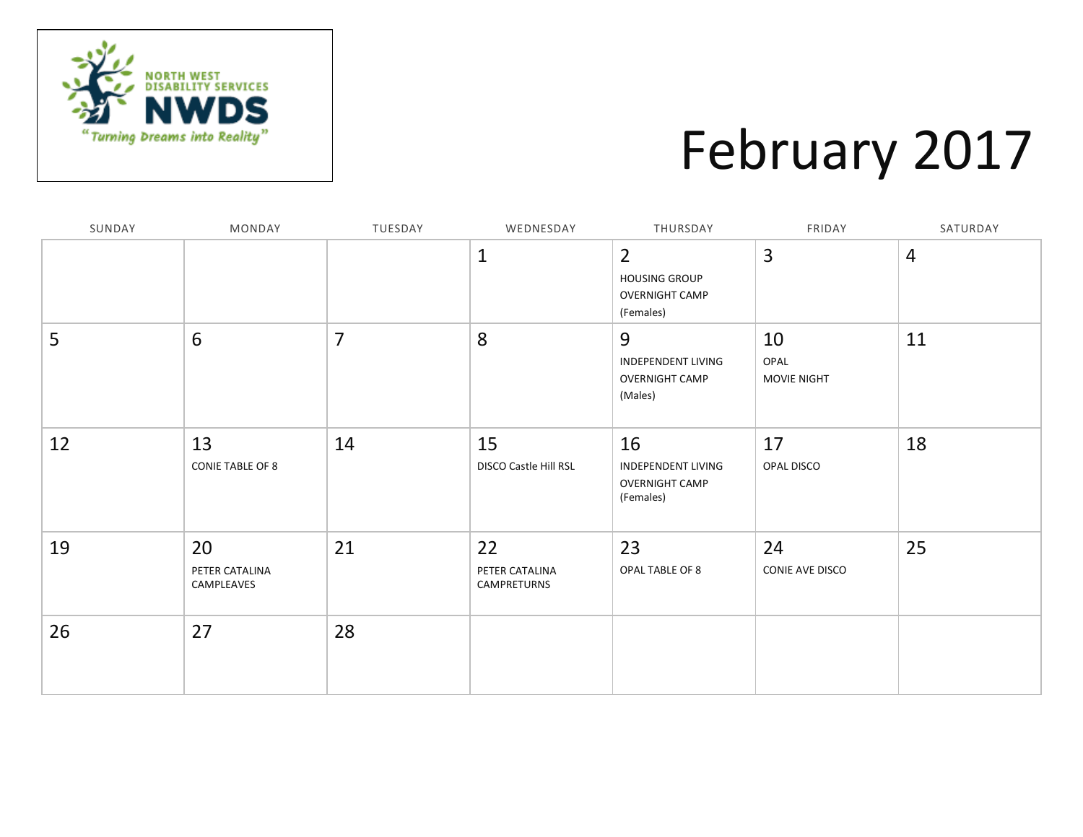

### February 2017

| SUNDAY | MONDAY                             | TUESDAY        | WEDNESDAY                           | THURSDAY                                                                     | FRIDAY                    | SATURDAY       |
|--------|------------------------------------|----------------|-------------------------------------|------------------------------------------------------------------------------|---------------------------|----------------|
|        |                                    |                | $\mathbf{1}$                        | $\overline{2}$<br><b>HOUSING GROUP</b><br><b>OVERNIGHT CAMP</b><br>(Females) | 3                         | $\overline{4}$ |
| 5      | 6                                  | $\overline{7}$ | 8                                   | 9<br><b>INDEPENDENT LIVING</b><br><b>OVERNIGHT CAMP</b><br>(Males)           | 10<br>OPAL<br>MOVIE NIGHT | 11             |
| 12     | 13<br><b>CONIE TABLE OF 8</b>      | 14             | 15<br>DISCO Castle Hill RSL         | 16<br><b>INDEPENDENT LIVING</b><br><b>OVERNIGHT CAMP</b><br>(Females)        | 17<br>OPAL DISCO          | 18             |
| 19     | 20<br>PETER CATALINA<br>CAMPLEAVES | 21             | 22<br>PETER CATALINA<br>CAMPRETURNS | 23<br>OPAL TABLE OF 8                                                        | 24<br>CONIE AVE DISCO     | 25             |
| 26     | 27                                 | 28             |                                     |                                                                              |                           |                |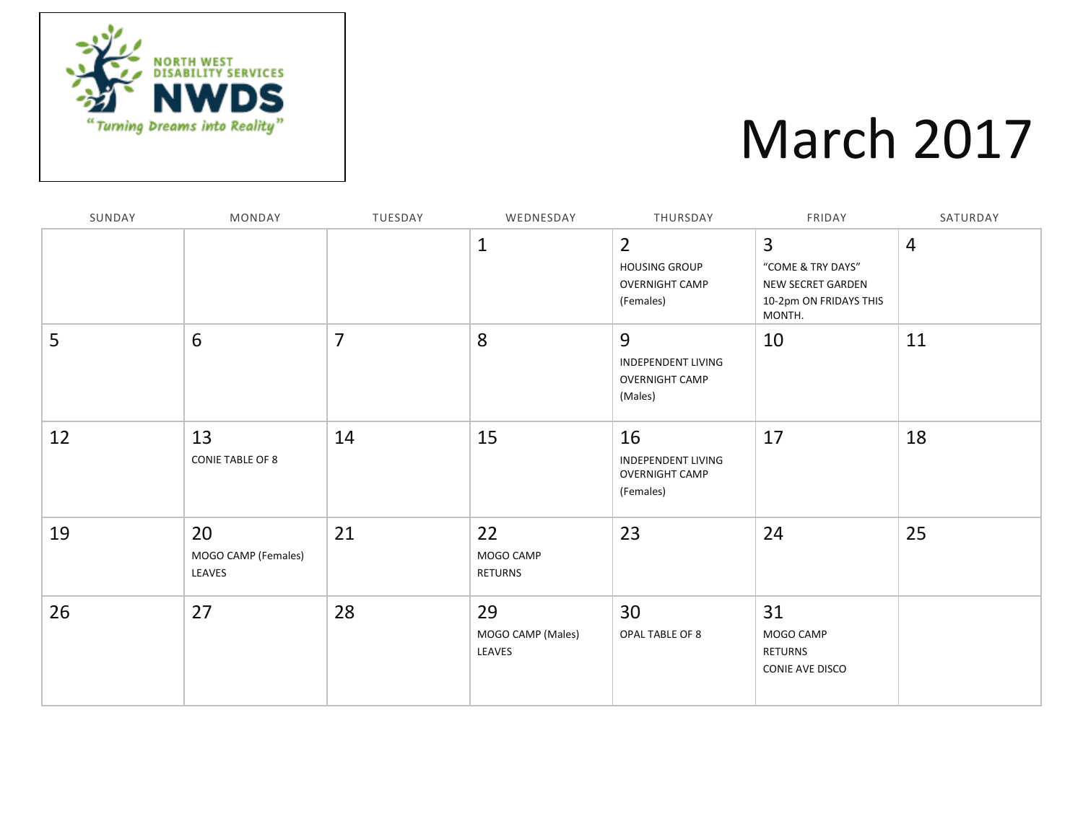

### March 2017

| SUNDAY | MONDAY                              | TUESDAY        | WEDNESDAY                         | THURSDAY                                                                     | FRIDAY                                                                                 | SATURDAY       |
|--------|-------------------------------------|----------------|-----------------------------------|------------------------------------------------------------------------------|----------------------------------------------------------------------------------------|----------------|
|        |                                     |                | $\mathbf{1}$                      | $\overline{2}$<br><b>HOUSING GROUP</b><br><b>OVERNIGHT CAMP</b><br>(Females) | 3<br>"COME & TRY DAYS"<br><b>NEW SECRET GARDEN</b><br>10-2pm ON FRIDAYS THIS<br>MONTH. | $\overline{4}$ |
| 5      | 6                                   | $\overline{7}$ | 8                                 | 9<br><b>INDEPENDENT LIVING</b><br><b>OVERNIGHT CAMP</b><br>(Males)           | 10                                                                                     | 11             |
| 12     | 13<br><b>CONIE TABLE OF 8</b>       | 14             | 15                                | 16<br><b>INDEPENDENT LIVING</b><br><b>OVERNIGHT CAMP</b><br>(Females)        | 17                                                                                     | 18             |
| 19     | 20<br>MOGO CAMP (Females)<br>LEAVES | 21             | 22<br>MOGO CAMP<br><b>RETURNS</b> | 23                                                                           | 24                                                                                     | 25             |
| 26     | 27                                  | 28             | 29<br>MOGO CAMP (Males)<br>LEAVES | 30<br>OPAL TABLE OF 8                                                        | 31<br>MOGO CAMP<br><b>RETURNS</b><br>CONIE AVE DISCO                                   |                |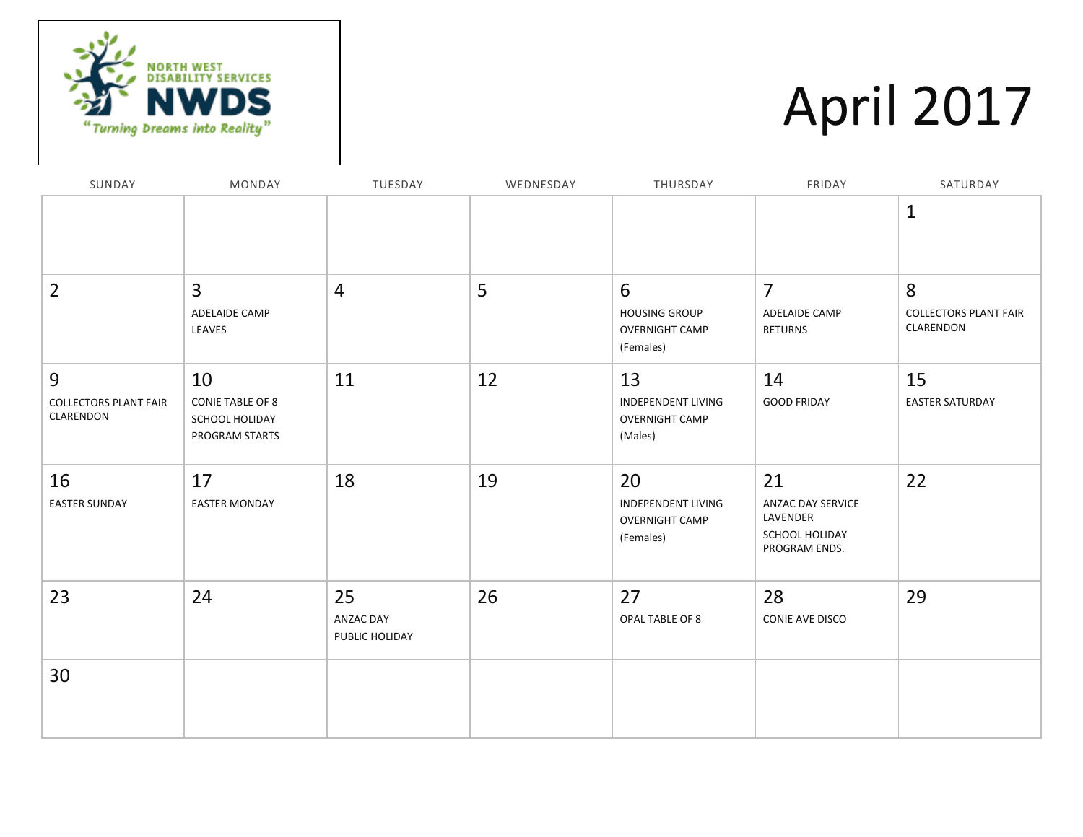

# April 2017

| SUNDAY                                         | MONDAY                                                            | TUESDAY                           | WEDNESDAY | THURSDAY                                                              | FRIDAY                                                                 | SATURDAY                                       |
|------------------------------------------------|-------------------------------------------------------------------|-----------------------------------|-----------|-----------------------------------------------------------------------|------------------------------------------------------------------------|------------------------------------------------|
|                                                |                                                                   |                                   |           |                                                                       |                                                                        | $\mathbf{1}$                                   |
| $\overline{2}$                                 | 3<br>ADELAIDE CAMP<br>LEAVES                                      | $\overline{4}$                    | 5         | 6<br><b>HOUSING GROUP</b><br><b>OVERNIGHT CAMP</b><br>(Females)       | $\overline{7}$<br>ADELAIDE CAMP<br><b>RETURNS</b>                      | 8<br><b>COLLECTORS PLANT FAIR</b><br>CLARENDON |
| 9<br><b>COLLECTORS PLANT FAIR</b><br>CLARENDON | 10<br><b>CONIE TABLE OF 8</b><br>SCHOOL HOLIDAY<br>PROGRAM STARTS | 11                                | 12        | 13<br><b>INDEPENDENT LIVING</b><br><b>OVERNIGHT CAMP</b><br>(Males)   | 14<br><b>GOOD FRIDAY</b>                                               | 15<br><b>EASTER SATURDAY</b>                   |
| 16<br><b>EASTER SUNDAY</b>                     | 17<br><b>EASTER MONDAY</b>                                        | 18                                | 19        | 20<br><b>INDEPENDENT LIVING</b><br><b>OVERNIGHT CAMP</b><br>(Females) | 21<br>ANZAC DAY SERVICE<br>LAVENDER<br>SCHOOL HOLIDAY<br>PROGRAM ENDS. | 22                                             |
| 23                                             | 24                                                                | 25<br>ANZAC DAY<br>PUBLIC HOLIDAY | 26        | 27<br>OPAL TABLE OF 8                                                 | 28<br>CONIE AVE DISCO                                                  | 29                                             |
| 30                                             |                                                                   |                                   |           |                                                                       |                                                                        |                                                |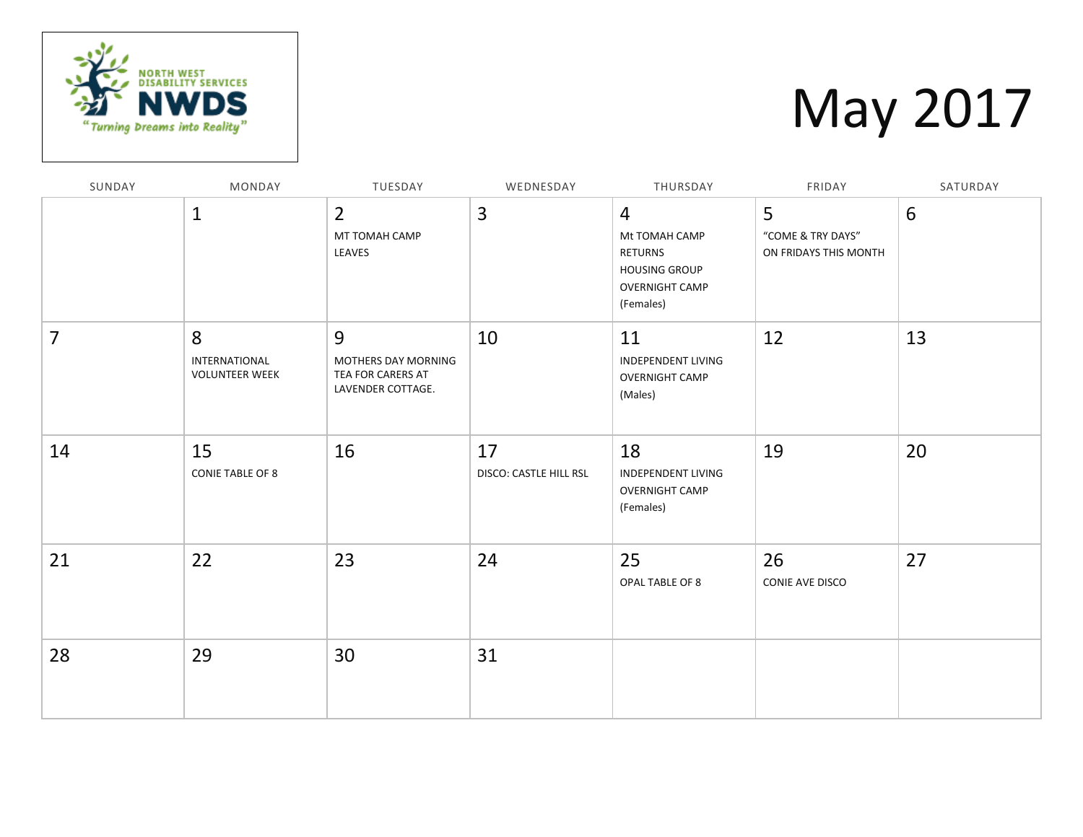

# May 2017

| SUNDAY | MONDAY                                      | TUESDAY                                                            | WEDNESDAY                    | THURSDAY                                                                                                 | FRIDAY                                          | SATURDAY |
|--------|---------------------------------------------|--------------------------------------------------------------------|------------------------------|----------------------------------------------------------------------------------------------------------|-------------------------------------------------|----------|
|        | $\mathbf{1}$                                | $\overline{2}$<br>MT TOMAH CAMP<br>LEAVES                          | $\overline{3}$               | $\overline{4}$<br>Mt TOMAH CAMP<br>RETURNS<br><b>HOUSING GROUP</b><br><b>OVERNIGHT CAMP</b><br>(Females) | 5<br>"COME & TRY DAYS"<br>ON FRIDAYS THIS MONTH | 6        |
| 7      | 8<br>INTERNATIONAL<br><b>VOLUNTEER WEEK</b> | 9<br>MOTHERS DAY MORNING<br>TEA FOR CARERS AT<br>LAVENDER COTTAGE. | 10                           | 11<br>INDEPENDENT LIVING<br><b>OVERNIGHT CAMP</b><br>(Males)                                             | 12                                              | 13       |
| 14     | 15<br><b>CONIE TABLE OF 8</b>               | 16                                                                 | 17<br>DISCO: CASTLE HILL RSL | 18<br><b>INDEPENDENT LIVING</b><br><b>OVERNIGHT CAMP</b><br>(Females)                                    | 19                                              | 20       |
| 21     | 22                                          | 23                                                                 | 24                           | 25<br>OPAL TABLE OF 8                                                                                    | 26<br>CONIE AVE DISCO                           | 27       |
| 28     | 29                                          | 30                                                                 | 31                           |                                                                                                          |                                                 |          |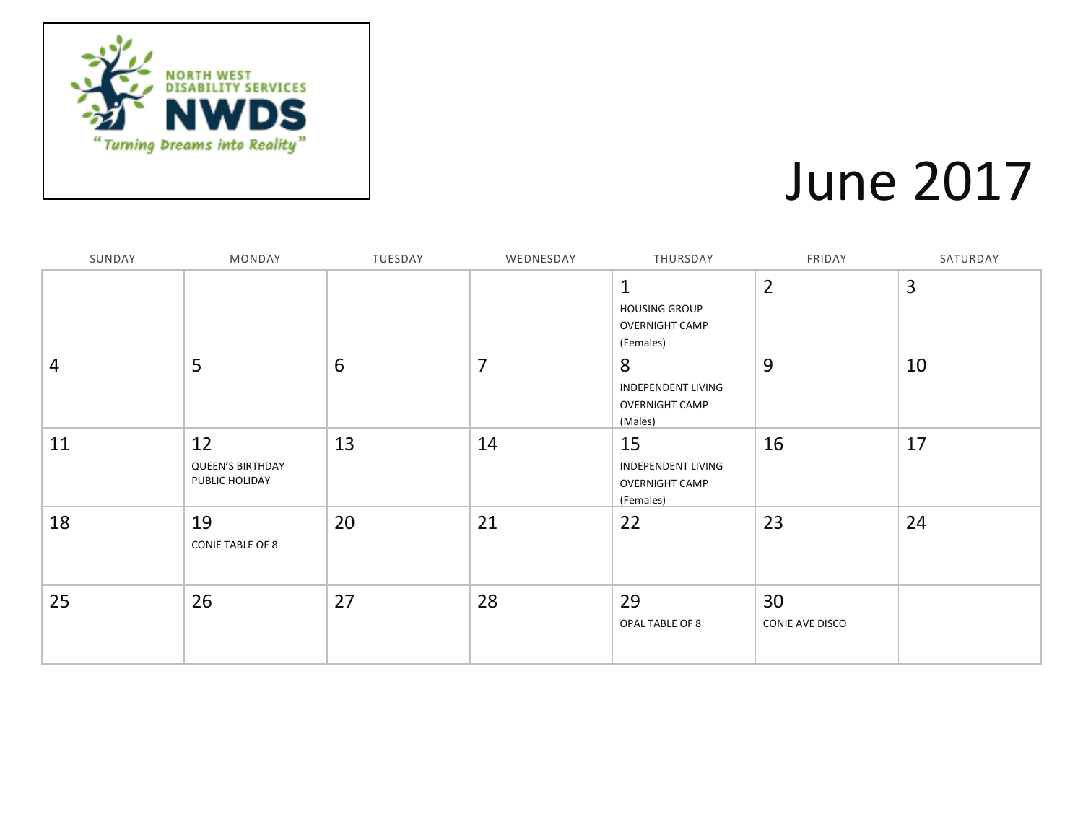

#### June 2017

| SUNDAY | MONDAY                                          | TUESDAY        | WEDNESDAY      | THURSDAY                                                                  | FRIDAY                | SATURDAY       |
|--------|-------------------------------------------------|----------------|----------------|---------------------------------------------------------------------------|-----------------------|----------------|
|        |                                                 |                |                | $\mathbf 1$<br><b>HOUSING GROUP</b><br><b>OVERNIGHT CAMP</b><br>(Females) | $\overline{2}$        | $\overline{3}$ |
| 4      | 5                                               | $6\phantom{1}$ | $\overline{7}$ | 8<br>INDEPENDENT LIVING<br><b>OVERNIGHT CAMP</b><br>(Males)               | 9                     | 10             |
| 11     | 12<br><b>QUEEN'S BIRTHDAY</b><br>PUBLIC HOLIDAY | 13             | 14             | 15<br>INDEPENDENT LIVING<br><b>OVERNIGHT CAMP</b><br>(Females)            | 16                    | 17             |
| 18     | 19<br>CONIE TABLE OF 8                          | 20             | 21             | 22                                                                        | 23                    | 24             |
| 25     | 26                                              | 27             | 28             | 29<br>OPAL TABLE OF 8                                                     | 30<br>CONIE AVE DISCO |                |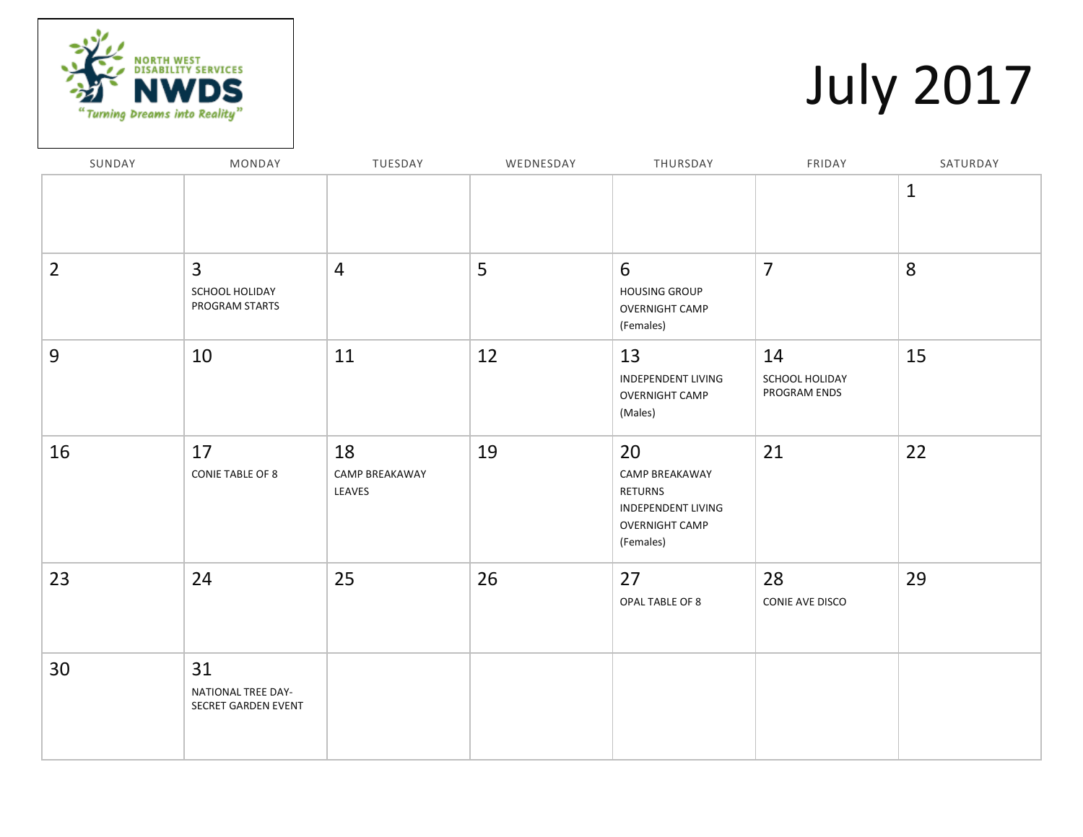

# July 2017

| SUNDAY         | MONDAY                                             | TUESDAY                        | WEDNESDAY | THURSDAY                                                                                    | FRIDAY                               | SATURDAY     |
|----------------|----------------------------------------------------|--------------------------------|-----------|---------------------------------------------------------------------------------------------|--------------------------------------|--------------|
|                |                                                    |                                |           |                                                                                             |                                      | $\mathbf{1}$ |
| $\overline{2}$ | $\overline{3}$<br>SCHOOL HOLIDAY<br>PROGRAM STARTS | $\overline{4}$                 | 5         | 6<br><b>HOUSING GROUP</b><br><b>OVERNIGHT CAMP</b><br>(Females)                             | $\overline{7}$                       | 8            |
| 9              | 10                                                 | 11                             | 12        | 13<br>INDEPENDENT LIVING<br><b>OVERNIGHT CAMP</b><br>(Males)                                | 14<br>SCHOOL HOLIDAY<br>PROGRAM ENDS | 15           |
| 16             | 17<br><b>CONIE TABLE OF 8</b>                      | 18<br>CAMP BREAKAWAY<br>LEAVES | 19        | 20<br>CAMP BREAKAWAY<br>RETURNS<br>INDEPENDENT LIVING<br><b>OVERNIGHT CAMP</b><br>(Females) | 21                                   | 22           |
| 23             | 24                                                 | 25                             | 26        | 27<br>OPAL TABLE OF 8                                                                       | 28<br>CONIE AVE DISCO                | 29           |
| 30             | 31<br>NATIONAL TREE DAY-<br>SECRET GARDEN EVENT    |                                |           |                                                                                             |                                      |              |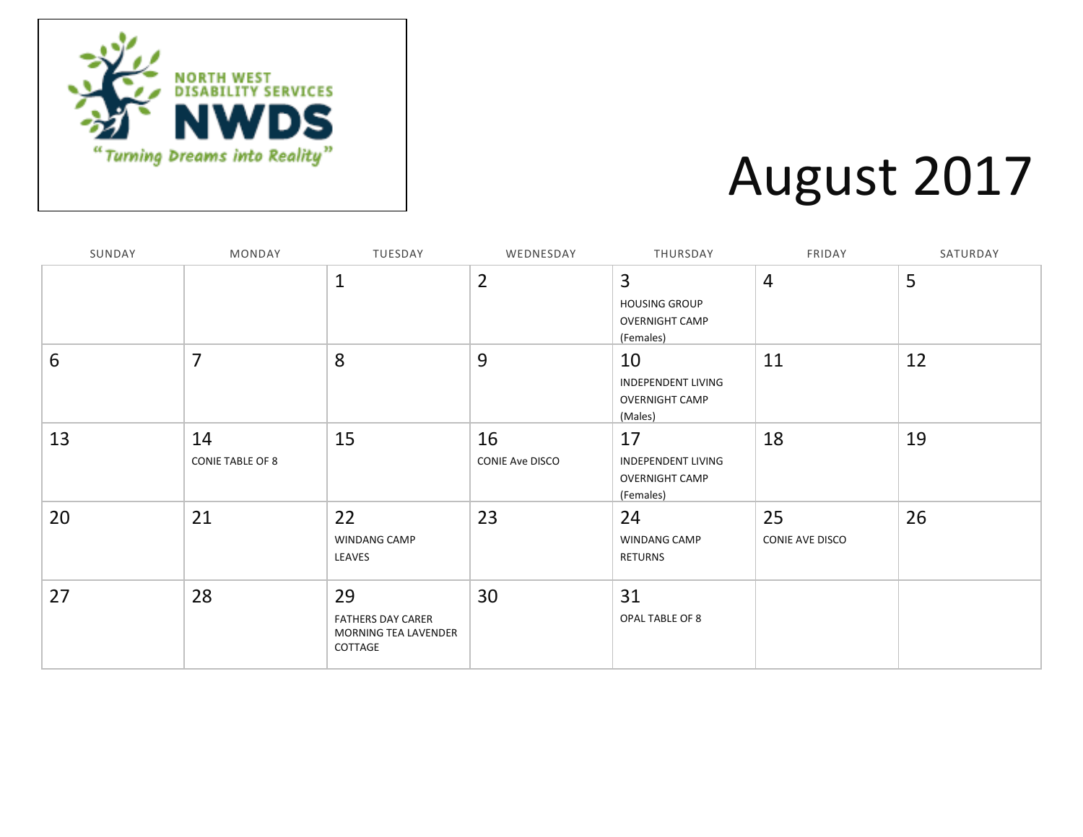

### August 2017

| SUNDAY | MONDAY                        | TUESDAY                                                           | WEDNESDAY                    | THURSDAY                                                        | FRIDAY                | SATURDAY |
|--------|-------------------------------|-------------------------------------------------------------------|------------------------------|-----------------------------------------------------------------|-----------------------|----------|
|        |                               | $\mathbf{1}$                                                      | $\overline{2}$               | 3<br><b>HOUSING GROUP</b><br><b>OVERNIGHT CAMP</b><br>(Females) | $\overline{4}$        | 5        |
| 6      | $\overline{7}$                | 8                                                                 | 9                            | 10<br>INDEPENDENT LIVING<br><b>OVERNIGHT CAMP</b><br>(Males)    | 11                    | 12       |
| 13     | 14<br><b>CONIE TABLE OF 8</b> | 15                                                                | 16<br><b>CONIE Ave DISCO</b> | 17<br>INDEPENDENT LIVING<br><b>OVERNIGHT CAMP</b><br>(Females)  | 18                    | 19       |
| 20     | 21                            | 22<br>WINDANG CAMP<br>LEAVES                                      | 23                           | 24<br>WINDANG CAMP<br><b>RETURNS</b>                            | 25<br>CONIE AVE DISCO | 26       |
| 27     | 28                            | 29<br><b>FATHERS DAY CARER</b><br>MORNING TEA LAVENDER<br>COTTAGE | 30                           | 31<br>OPAL TABLE OF 8                                           |                       |          |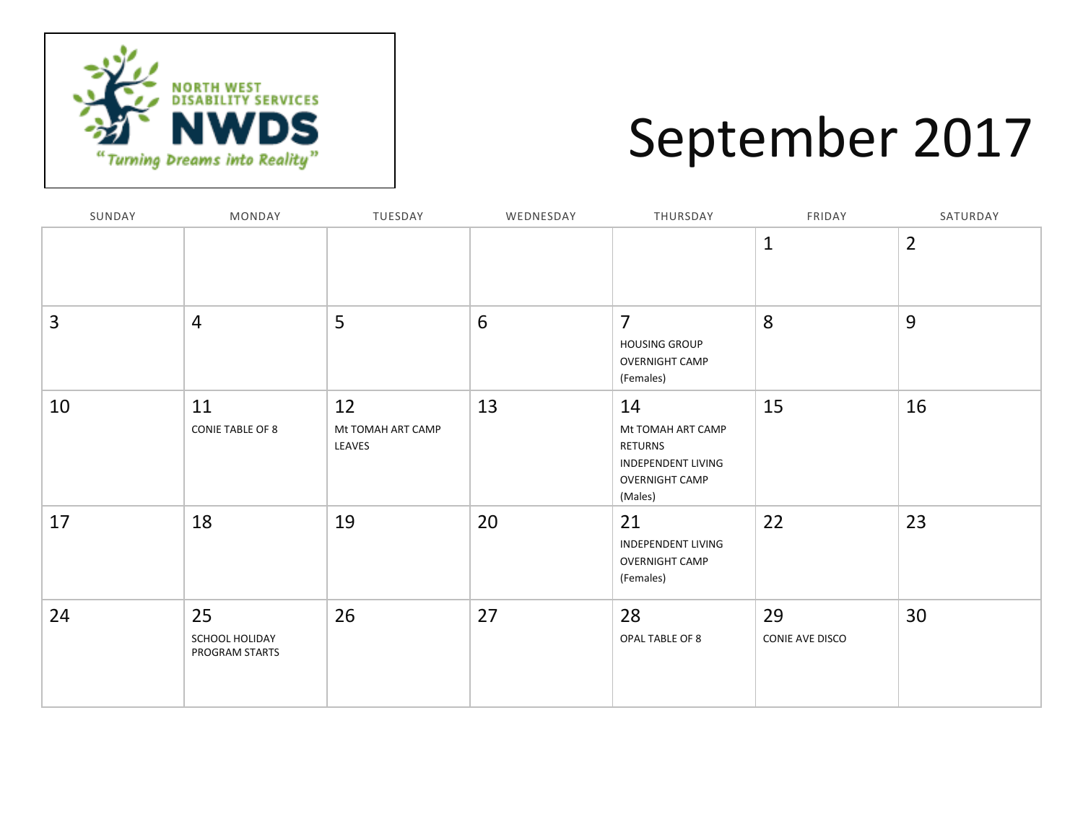

### September 2017

| SUNDAY | MONDAY                                 | TUESDAY                           | WEDNESDAY | THURSDAY                                                                                            | FRIDAY                | SATURDAY       |
|--------|----------------------------------------|-----------------------------------|-----------|-----------------------------------------------------------------------------------------------------|-----------------------|----------------|
|        |                                        |                                   |           |                                                                                                     | $\mathbf{1}$          | $\overline{2}$ |
| 3      | $\overline{4}$                         | 5                                 | 6         | $\overline{7}$<br><b>HOUSING GROUP</b><br><b>OVERNIGHT CAMP</b><br>(Females)                        | 8                     | 9              |
| 10     | 11<br><b>CONIE TABLE OF 8</b>          | 12<br>Mt TOMAH ART CAMP<br>LEAVES | 13        | 14<br>Mt TOMAH ART CAMP<br>RETURNS<br><b>INDEPENDENT LIVING</b><br><b>OVERNIGHT CAMP</b><br>(Males) | 15                    | 16             |
| 17     | 18                                     | 19                                | 20        | 21<br><b>INDEPENDENT LIVING</b><br><b>OVERNIGHT CAMP</b><br>(Females)                               | 22                    | 23             |
| 24     | 25<br>SCHOOL HOLIDAY<br>PROGRAM STARTS | 26                                | 27        | 28<br>OPAL TABLE OF 8                                                                               | 29<br>CONIE AVE DISCO | 30             |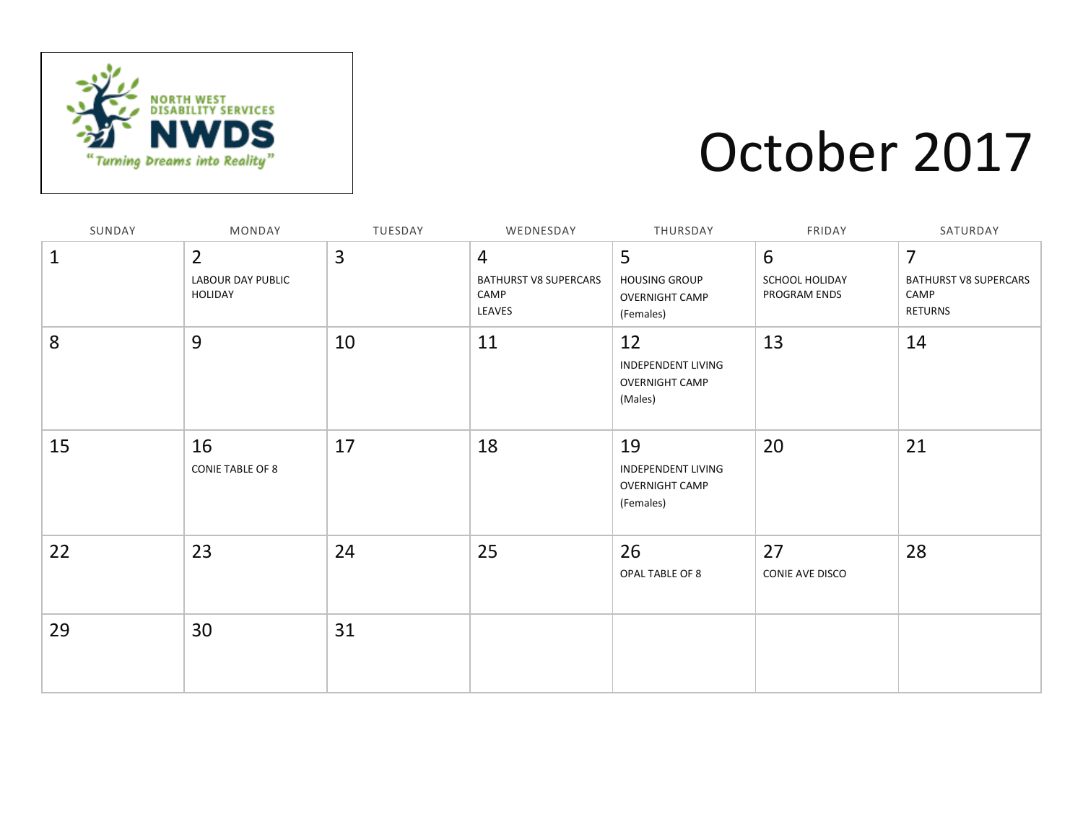

### October 2017

| SUNDAY       | MONDAY                                                | TUESDAY | WEDNESDAY                                                        | THURSDAY                                                              | FRIDAY                              | SATURDAY                                                                 |
|--------------|-------------------------------------------------------|---------|------------------------------------------------------------------|-----------------------------------------------------------------------|-------------------------------------|--------------------------------------------------------------------------|
| $\mathbf{1}$ | $\overline{2}$<br><b>LABOUR DAY PUBLIC</b><br>HOLIDAY | 3       | $\overline{4}$<br><b>BATHURST V8 SUPERCARS</b><br>CAMP<br>LEAVES | 5<br><b>HOUSING GROUP</b><br><b>OVERNIGHT CAMP</b><br>(Females)       | 6<br>SCHOOL HOLIDAY<br>PROGRAM ENDS | $\overline{7}$<br><b>BATHURST V8 SUPERCARS</b><br>CAMP<br><b>RETURNS</b> |
| 8            | 9                                                     | 10      | 11                                                               | 12<br><b>INDEPENDENT LIVING</b><br><b>OVERNIGHT CAMP</b><br>(Males)   | 13                                  | 14                                                                       |
| 15           | 16<br><b>CONIE TABLE OF 8</b>                         | 17      | 18                                                               | 19<br><b>INDEPENDENT LIVING</b><br><b>OVERNIGHT CAMP</b><br>(Females) | 20                                  | 21                                                                       |
| 22           | 23                                                    | 24      | 25                                                               | 26<br>OPAL TABLE OF 8                                                 | 27<br>CONIE AVE DISCO               | 28                                                                       |
| 29           | 30                                                    | 31      |                                                                  |                                                                       |                                     |                                                                          |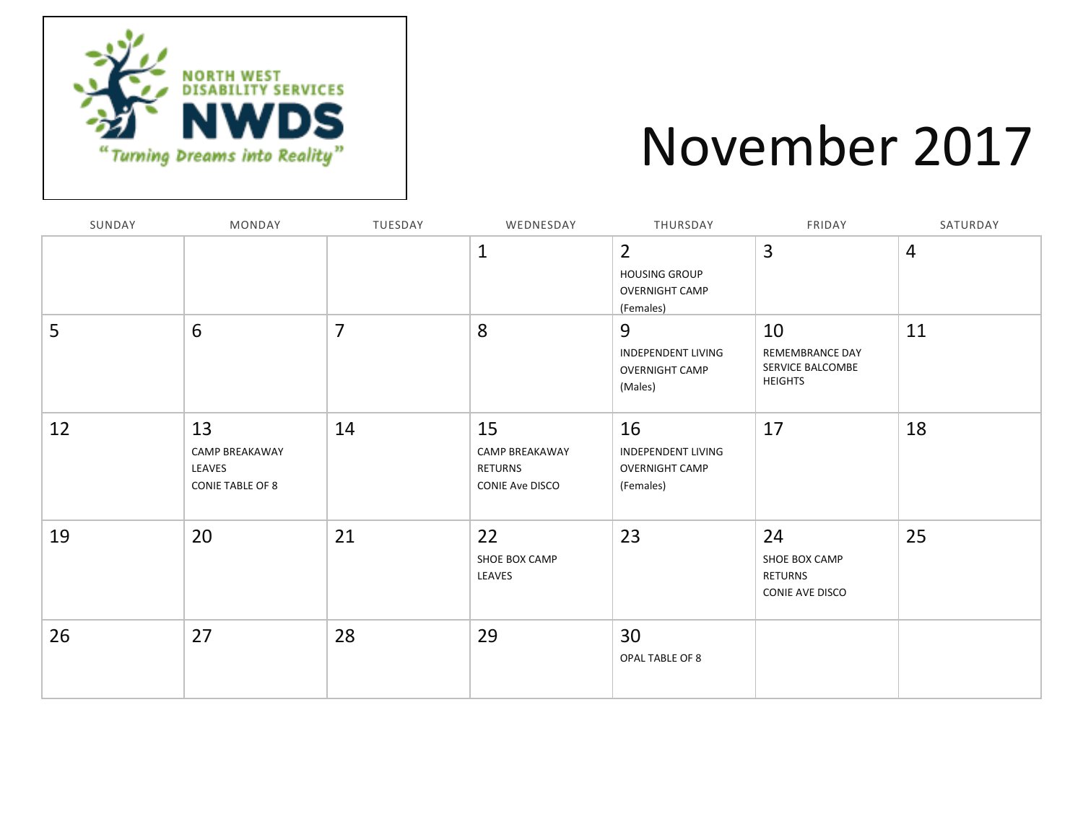

### November 2017

| SUNDAY | MONDAY                                                           | TUESDAY        | WEDNESDAY                                                 | THURSDAY                                                                     | FRIDAY                                                      | SATURDAY       |
|--------|------------------------------------------------------------------|----------------|-----------------------------------------------------------|------------------------------------------------------------------------------|-------------------------------------------------------------|----------------|
|        |                                                                  |                | $\mathbf{1}$                                              | $\overline{2}$<br><b>HOUSING GROUP</b><br><b>OVERNIGHT CAMP</b><br>(Females) | 3                                                           | $\overline{4}$ |
| 5      | 6                                                                | $\overline{7}$ | 8                                                         | 9<br><b>INDEPENDENT LIVING</b><br><b>OVERNIGHT CAMP</b><br>(Males)           | 10<br>REMEMBRANCE DAY<br>SERVICE BALCOMBE<br><b>HEIGHTS</b> | 11             |
| 12     | 13<br><b>CAMP BREAKAWAY</b><br>LEAVES<br><b>CONIE TABLE OF 8</b> | 14             | 15<br>CAMP BREAKAWAY<br>RETURNS<br><b>CONIE Ave DISCO</b> | 16<br><b>INDEPENDENT LIVING</b><br><b>OVERNIGHT CAMP</b><br>(Females)        | 17                                                          | 18             |
| 19     | 20                                                               | 21             | 22<br>SHOE BOX CAMP<br>LEAVES                             | 23                                                                           | 24<br>SHOE BOX CAMP<br><b>RETURNS</b><br>CONIE AVE DISCO    | 25             |
| 26     | 27                                                               | 28             | 29                                                        | 30<br>OPAL TABLE OF 8                                                        |                                                             |                |